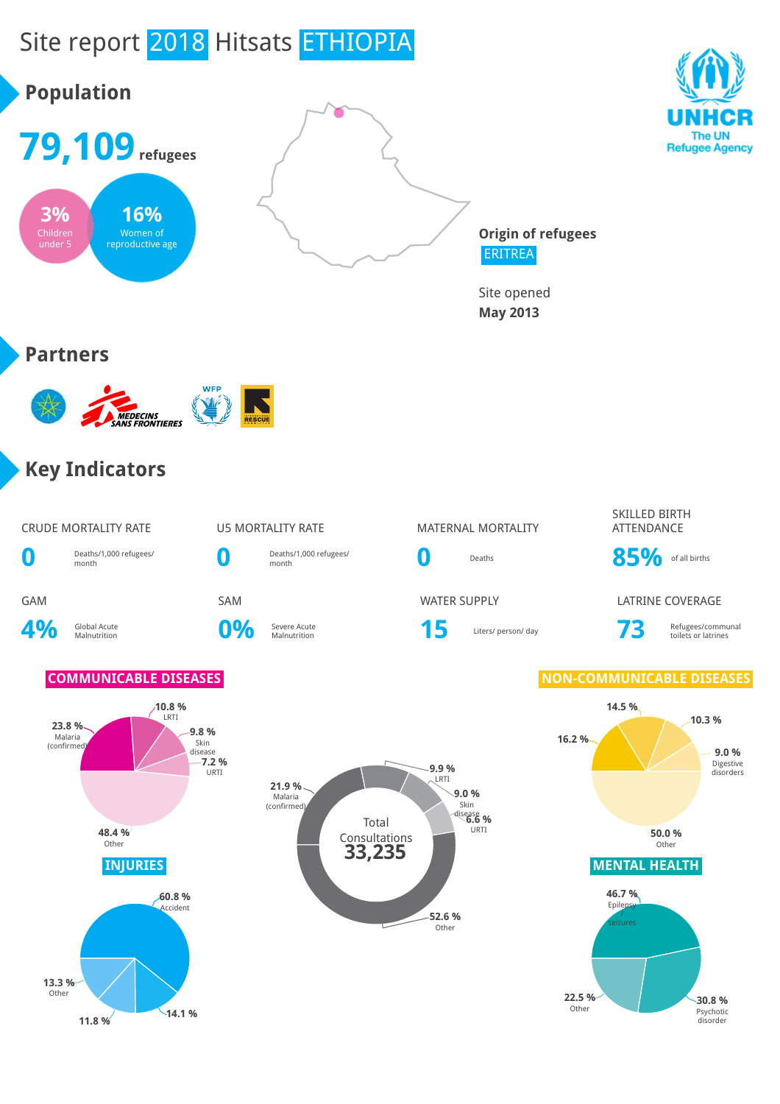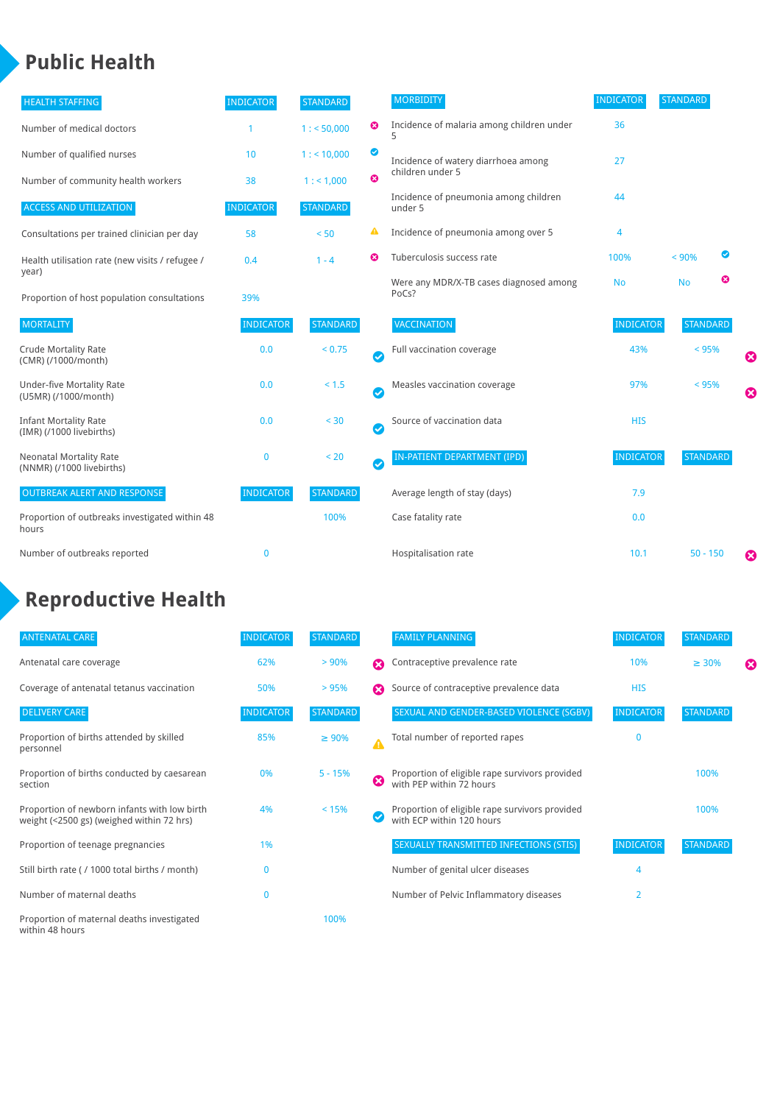### **Public Health**

| <b>HEALTH STAFFING</b>                                      | <b>INDICATOR</b> | <b>STANDARD</b> |                       | <b>MORBIDITY</b>                                 | <b>INDICATOR</b> | <b>STANDARD</b> |   |
|-------------------------------------------------------------|------------------|-----------------|-----------------------|--------------------------------------------------|------------------|-----------------|---|
| Number of medical doctors                                   |                  | 1: 50,000       | ☺                     | Incidence of malaria among children under        | 36               |                 |   |
| Number of qualified nurses                                  | 10               | $1:$ < 10,000   | ◙                     | Incidence of watery diarrhoea among              | 27               |                 |   |
| Number of community health workers                          | 38               | 1: 1,000        | Ø                     | children under 5                                 |                  |                 |   |
| <b>ACCESS AND UTILIZATION</b>                               | <b>INDICATOR</b> | <b>STANDARD</b> |                       | Incidence of pneumonia among children<br>under 5 | 44               |                 |   |
| Consultations per trained clinician per day                 | 58               | < 50            | ▲                     | Incidence of pneumonia among over 5              | 4                |                 |   |
| Health utilisation rate (new visits / refugee /             | 0.4              | $1 - 4$         | ೞ                     | Tuberculosis success rate                        | 100%             | ◙<br>< 90%      |   |
| year)<br>Proportion of host population consultations        | 39%              |                 |                       | Were any MDR/X-TB cases diagnosed among<br>PoCs? | <b>No</b>        | ೞ<br><b>No</b>  |   |
| <b>MORTALITY</b>                                            | <b>INDICATOR</b> | <b>STANDARD</b> |                       | <b>VACCINATION</b>                               | <b>INDICATOR</b> | <b>STANDARD</b> |   |
| <b>Crude Mortality Rate</b><br>(CMR) (/1000/month)          | 0.0              | < 0.75          | Ø                     | Full vaccination coverage                        | 43%              | < 95%           | Ø |
| <b>Under-five Mortality Rate</b><br>(U5MR) (/1000/month)    | 0.0              | $< 1.5$         | Ø                     | Measles vaccination coverage                     | 97%              | < 95%           | ☺ |
| <b>Infant Mortality Rate</b><br>(IMR) (/1000 livebirths)    | 0.0              | < 30            | $\boldsymbol{\omega}$ | Source of vaccination data                       | <b>HIS</b>       |                 |   |
| <b>Neonatal Mortality Rate</b><br>(NNMR) (/1000 livebirths) | $\mathbf 0$      | < 20            | Ø                     | <b>IN-PATIENT DEPARTMENT (IPD)</b>               | <b>INDICATOR</b> | <b>STANDARD</b> |   |
| <b>OUTBREAK ALERT AND RESPONSE</b>                          | <b>INDICATOR</b> | <b>STANDARD</b> |                       | Average length of stay (days)                    | 7.9              |                 |   |
| Proportion of outbreaks investigated within 48<br>hours     |                  | 100%            |                       | Case fatality rate                               | 0.0              |                 |   |
| Number of outbreaks reported                                | $\mathbf 0$      |                 |                       | Hospitalisation rate                             | 10.1             | $50 - 150$      | Ø |

## **Reproductive Health**

| <b>ANTENATAL CARE</b>                                                                     | <b>INDICATOR</b> | <b>STANDARD</b> |                  | <b>FAMILY PLANNING</b>                                                      | <b>INDICATOR</b> | <b>STANDARD</b> |   |
|-------------------------------------------------------------------------------------------|------------------|-----------------|------------------|-----------------------------------------------------------------------------|------------------|-----------------|---|
| Antenatal care coverage                                                                   | 62%              | > 90%           | ☎                | Contraceptive prevalence rate                                               | 10%              | $\geq 30\%$     | ⊠ |
| Coverage of antenatal tetanus vaccination                                                 | 50%              | >95%            | Ω                | Source of contraceptive prevalence data                                     | <b>HIS</b>       |                 |   |
| <b>DELIVERY CARE</b>                                                                      | <b>INDICATOR</b> | <b>STANDARD</b> |                  | SEXUAL AND GENDER-BASED VIOLENCE (SGBV)                                     | <b>INDICATOR</b> | <b>STANDARD</b> |   |
| Proportion of births attended by skilled<br>personnel                                     | 85%              | $\geq 90\%$     | $\blacktriangle$ | Total number of reported rapes                                              | $\mathbf{0}$     |                 |   |
| Proportion of births conducted by caesarean<br>section                                    | 0%               | $5 - 15%$       | ೞ                | Proportion of eligible rape survivors provided<br>with PEP within 72 hours  |                  | 100%            |   |
| Proportion of newborn infants with low birth<br>weight (<2500 gs) (weighed within 72 hrs) | 4%               | < 15%           |                  | Proportion of eligible rape survivors provided<br>with ECP within 120 hours |                  | 100%            |   |
| Proportion of teenage pregnancies                                                         | 1%               |                 |                  | SEXUALLY TRANSMITTED INFECTIONS (STIS)                                      | <b>INDICATOR</b> | <b>STANDARD</b> |   |
| Still birth rate (/ 1000 total births / month)                                            |                  |                 |                  | Number of genital ulcer diseases                                            | 4                |                 |   |
| Number of maternal deaths                                                                 | $\mathbf{0}$     |                 |                  | Number of Pelvic Inflammatory diseases                                      | $\overline{2}$   |                 |   |
| Proportion of maternal deaths investigated<br>within 48 hours                             |                  | 100%            |                  |                                                                             |                  |                 |   |